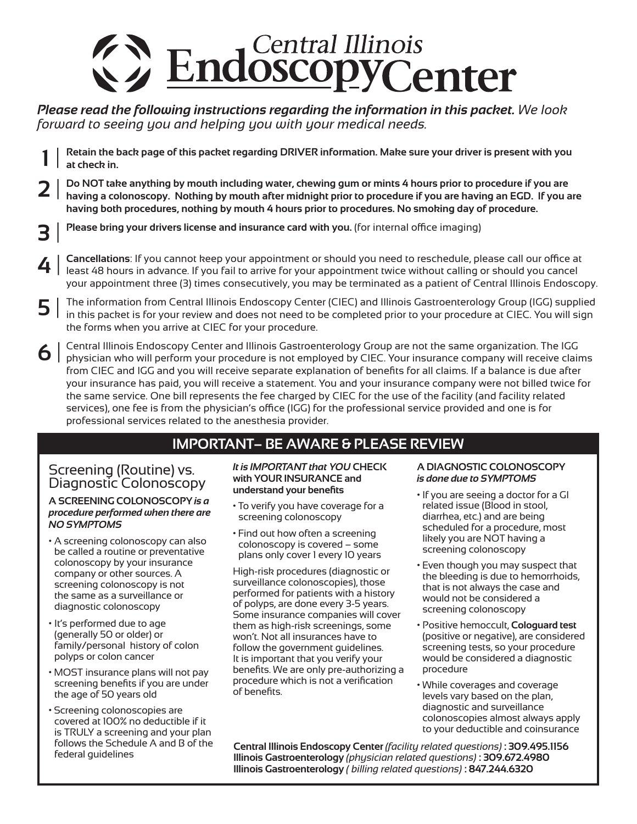

### *Please read the following instructions regarding the information in this packet. We look forward to seeing you and helping you with your medical needs.*

- Retain the back page of this packet regarding DRIVER information. Make sure your driver is present with you **at check in. 1** |
- Do NOT take anything by mouth including water, chewing gum or mints 4 hours prior to procedure if you are having a colonoscopy. Nothing by mouth after midnight prior to procedure if you are having an EGD. If you are **having both procedures, nothing by mouth 4 hours prior to procedures. No smoking day of procedure. 2** |
- **Please bring your drivers license and insurance card with you.** (for internal oce imaging) **3** |
- **Cancellations**: If you cannot keep your appointment or should you need to reschedule, please call our office at least 48 hours in advance. If you fail to arrive for your appointment twice without calling or should you cancel your appointment three (3) times consecutively, you may be terminated as a patient of Central Illinois Endoscopy. **4** |
- The information from Central Illinois Endoscopy Center (CIEC) and Illinois Gastroenterology Group (IGG) supplied  $\mathsf{S} \mid \mathsf{S}$  The information from Central Illinois Endoscopy Center (CIEC) and Illinois Gastroenterology Group (IGG) supplied<br>in this packet is for your review and does not need to be completed prior to your procedure the forms when you arrive at CIEC for your procedure.
- Central Illinois Endoscopy Center and Illinois Gastroenterology Group are not the same organization. The IGG physician who will perform your procedure is not employed by CIEC. Your insurance company will receive claims from CIEC and IGG and you will receive separate explanation of benefits for all claims. If a balance is due after your insurance has paid, you will receive a statement. You and your insurance company were not billed twice for the same service. One bill represents the fee charged by CIEC for the use of the facility (and facility related services), one fee is from the physician's office (IGG) for the professional service provided and one is for professional services related to the anesthesia provider. **6** |

### **IMPORTANT– BE AWARE & PlEAsE REvIEW**

# Screening (Routine) vs. Diagnostic Colonoscopy

#### **A sCREENING COlONOsCOPy** *is a procedure performed when there are NO SYMPTOMS*

- A screening colonoscopy can also be called a routine or preventative colonoscopy by your insurance company or other sources. A screening colonoscopy is not the same as a surveillance or diagnostic colonoscopy
- It's performed due to age (generally 50 or older) or family/personal history of colon polyps or colon cancer
- MOST insurance plans will not pay screening benefits if you are under the age of 50 years old
- Screening colonoscopies are covered at 100% no deductible if it is TRULY a screening and your plan follows the Schedule A and B of the federal guidelines

#### *It is IMPORTANT that YOU* **CHECK with yOUR INsURANCE and understand your benefits**

- To verify you have coverage for a screening colonoscopy
- Find out how often a screening colonoscopy is covered – some plans only cover 1 every 10 years

High-risk procedures (diagnostic or surveillance colonoscopies), those performed for patients with a history of polyps, are done every 3-5 years. Some insurance companies will cover them as high-risk screenings, some won't. Not all insurances have to follow the government guidelines. It is important that you verify your benefits. We are only pre-authorizing a procedure which is not a verification of benefits.

#### **A DIAGNOsTIC COlONOsCOPy** *is done due to SYMPTOMS*

- If you are seeing a doctor for a GI related issue (Blood in stool, diarrhea, etc.) and are being scheduled for a procedure, most likely you are NOT having a screening colonoscopy
- Even though you may suspect that the bleeding is due to hemorrhoids, that is not always the case and would not be considered a screening colonoscopy
- Positive hemoccult, **Cologuard test** (positive or negative), are considered screening tests, so your procedure would be considered a diagnostic procedure
- While coverages and coverage levels vary based on the plan, diagnostic and surveillance colonoscopies almost always apply to your deductible and coinsurance

**Central Illinois Endoscopy Center** *(facility related questions)* **: 309.495.1156 Illinois Gastroenterology** *(physician related questions)* **: 309.672.4980 Illinois Gastroenterology** *( billing related questions)* **: 847.244.6320**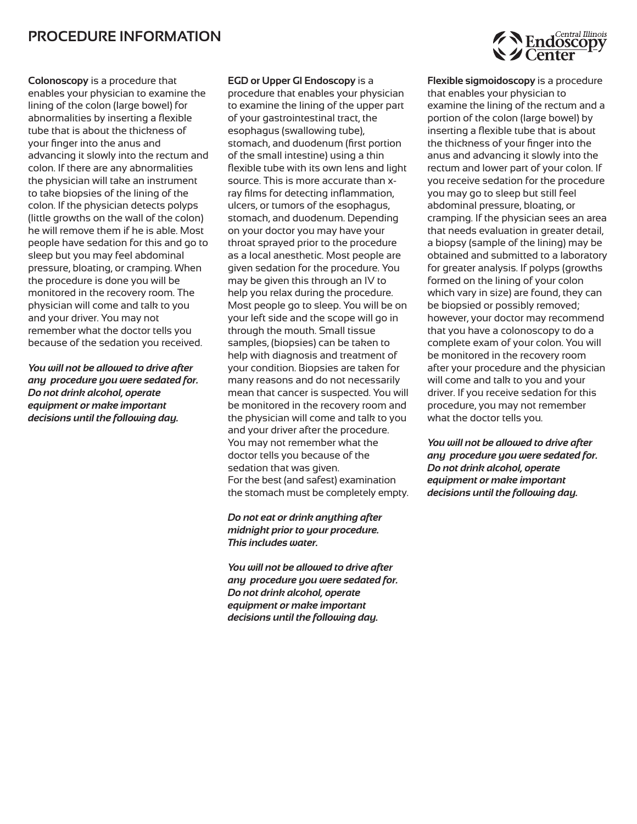### **PROCEDURE INfORMATION**

**Colonoscopy** is a procedure that enables your physician to examine the lining of the colon (large bowel) for abnormalities by inserting a flexible tube that is about the thickness of your finger into the anus and advancing it slowly into the rectum and colon. If there are any abnormalities the physician will take an instrument to take biopsies of the lining of the colon. If the physician detects polyps (little growths on the wall of the colon) he will remove them if he is able. Most people have sedation for this and go to sleep but you may feel abdominal pressure, bloating, or cramping. When the procedure is done you will be monitored in the recovery room. The physician will come and talk to you and your driver. You may not remember what the doctor tells you because of the sedation you received.

*You will not be allowed to drive after any procedure you were sedated for. Do not drink alcohol, operate equipment or make important decisions until the following day.*

**EGD or Upper GI Endoscopy** is a procedure that enables your physician to examine the lining of the upper part of your gastrointestinal tract, the esophagus (swallowing tube), stomach, and duodenum (first portion of the small intestine) using a thin flexible tube with its own lens and light source. This is more accurate than xray films for detecting inflammation, ulcers, or tumors of the esophagus, stomach, and duodenum. Depending on your doctor you may have your throat sprayed prior to the procedure as a local anesthetic. Most people are given sedation for the procedure. You may be given this through an IV to help you relax during the procedure. Most people go to sleep. You will be on your left side and the scope will go in through the mouth. Small tissue samples, (biopsies) can be taken to help with diagnosis and treatment of your condition. Biopsies are taken for many reasons and do not necessarily mean that cancer is suspected. You will be monitored in the recovery room and the physician will come and talk to you and your driver after the procedure. You may not remember what the doctor tells you because of the sedation that was given. For the best (and safest) examination the stomach must be completely empty.

*Do not eat or drink anything after midnight prior to your procedure. This includes water.*

*You will not be allowed to drive after any procedure you were sedated for. Do not drink alcohol, operate equipment or make important decisions until the following day.*



**flexible sigmoidoscopy** is a procedure that enables your physician to examine the lining of the rectum and a portion of the colon (large bowel) by inserting a flexible tube that is about the thickness of your finger into the anus and advancing it slowly into the rectum and lower part of your colon. If you receive sedation for the procedure you may go to sleep but still feel abdominal pressure, bloating, or cramping. If the physician sees an area that needs evaluation in greater detail, a biopsy (sample of the lining) may be obtained and submitted to a laboratory for greater analysis. If polyps (growths formed on the lining of your colon which vary in size) are found, they can be biopsied or possibly removed; however, your doctor may recommend that you have a colonoscopy to do a complete exam of your colon. You will be monitored in the recovery room after your procedure and the physician will come and talk to you and your driver. If you receive sedation for this procedure, you may not remember what the doctor tells you.

*You will not be allowed to drive after any procedure you were sedated for. Do not drink alcohol, operate equipment or make important decisions until the following day.*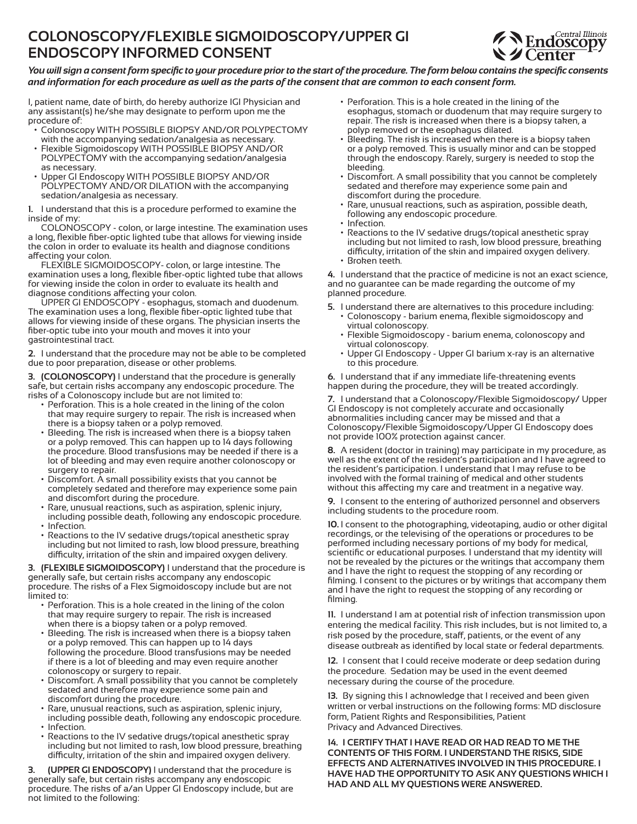# **COlONOsCOPy/flEXIBlE sIGMOIDOsCOPy/UPPER GI ENDOsCOPy INfORMED CONsENT**



#### You will sign a consent form specific to your procedure prior to the start of the procedure. The form below contains the specific consents and information for each procedure as well as the parts of the consent that are common to each consent form.

I, patient name, date of birth, do hereby authorize IGI Physician and any assistant(s) he/she may designate to perform upon me the procedure of:

- Colonoscopy WITH POSSIBLE BIOPSY AND/OR POLYPECTOMY with the accompanying sedation/analgesia as necessary.
- Flexible Sigmoidoscopy WITH POSSIBLE BIOPSY AND/OR POLYPECTOMY with the accompanying sedation/analgesia as necessary.
- Upper GI Endoscopy WITH POSSIBLE BIOPSY AND/OR POLYPECTOMY AND/OR DILATION with the accompanying sedation/analgesia as necessary.

**1.** I understand that this is a procedure performed to examine the inside of my:

COLONOSCOPY - colon, or large intestine. The examination uses a long, flexible fiber-optic lighted tube that allows for viewing inside the colon in order to evaluate its health and diagnose conditions affecting your colon.

FLEXIBLE SIGMOIDOSCOPY- colon, or large intestine. The examination uses a long, flexible fiber-optic lighted tube that allows for viewing inside the colon in order to evaluate its health and diagnose conditions affecting your colon.

UPPER GI ENDOSCOPY - esophagus, stomach and duodenum. The examination uses a long, flexible fiber-optic lighted tube that allows for viewing inside of these organs. The physician inserts the fiber-optic tube into your mouth and moves it into your gastrointestinal tract.

**2.** I understand that the procedure may not be able to be completed due to poor preparation, disease or other problems.

**3. (COlONOsCOPy)** I understand that the procedure is generally safe, but certain risks accompany any endoscopic procedure. The risks of a Colonoscopy include but are not limited to:

- Perforation. This is a hole created in the lining of the colon that may require surgery to repair. The risk is increased when there is a biopsy taken or a polyp removed.
- Bleeding. The risk is increased when there is a biopsy taken or a polyp removed. This can happen up to 14 days following the procedure. Blood transfusions may be needed if there is a lot of bleeding and may even require another colonoscopy or surgery to repair.
- Discomfort. A small possibility exists that you cannot be completely sedated and therefore may experience some pain and discomfort during the procedure.
- Rare, unusual reactions, such as aspiration, splenic injury, including possible death, following any endoscopic procedure. • Infection.
- Reactions to the IV sedative drugs/topical anesthetic spray including but not limited to rash, low blood pressure, breathing difficulty, irritation of the skin and impaired oxygen delivery.

**3. (flEXIBlE sIGMOIDOsCOPy)** I understand that the procedure is generally safe, but certain risks accompany any endoscopic procedure. The risks of a Flex Sigmoidoscopy include but are not limited to:

- Perforation. This is a hole created in the lining of the colon that may require surgery to repair. The risk is increased when there is a biopsy taken or a polyp removed.
- Bleeding. The risk is increased when there is a biopsy taken or a polyp removed. This can happen up to 14 days following the procedure. Blood transfusions may be needed if there is a lot of bleeding and may even require another colonoscopy or surgery to repair.
- Discomfort. A small possibility that you cannot be completely sedated and therefore may experience some pain and discomfort during the procedure.
- Rare, unusual reactions, such as aspiration, splenic injury, including possible death, following any endoscopic procedure.
- Infection.
- Reactions to the IV sedative drugs/topical anesthetic spray including but not limited to rash, low blood pressure, breathing difficulty, irritation of the skin and impaired oxygen delivery.

**3. (UPPER GI ENDOsCOPy)** I understand that the procedure is generally safe, but certain risks accompany any endoscopic procedure. The risks of a/an Upper GI Endoscopy include, but are not limited to the following:

- Perforation. This is a hole created in the lining of the esophagus, stomach or duodenum that may require surgery to repair. The risk is increased when there is a biopsy taken, a polyp removed or the esophagus dilated.
- Bleeding. The risk is increased when there is a biopsy taken or a polyp removed. This is usually minor and can be stopped through the endoscopy. Rarely, surgery is needed to stop the bleeding.
- Discomfort. A small possibility that you cannot be completely sedated and therefore may experience some pain and discomfort during the procedure.
- Rare, unusual reactions, such as aspiration, possible death, following any endoscopic procedure.
- Infection.
- Reactions to the IV sedative drugs/topical anesthetic spray including but not limited to rash, low blood pressure, breathing difficulty, irritation of the skin and impaired oxygen delivery. • Broken teeth.

**4.** I understand that the practice of medicine is not an exact science, and no guarantee can be made regarding the outcome of my planned procedure.

- **5.** I understand there are alternatives to this procedure including: • Colonoscopy - barium enema, flexible sigmoidoscopy and virtual colonoscopy.
	- Flexible Sigmoidoscopy barium enema, colonoscopy and virtual colonoscopy.
	- Upper GI Endoscopy Upper GI barium x-ray is an alternative to this procedure.

**6.** I understand that if any immediate life-threatening events happen during the procedure, they will be treated accordingly.

**7.** I understand that a Colonoscopy/Flexible Sigmoidoscopy/ Upper GI Endoscopy is not completely accurate and occasionally abnormalities including cancer may be missed and that a Colonoscopy/Flexible Sigmoidoscopy/Upper GI Endoscopy does not provide 100% protection against cancer.

**8.** A resident (doctor in training) may participate in my procedure, as well as the extent of the resident's participation and I have agreed to the resident's participation. I understand that I may refuse to be involved with the formal training of medical and other students without this affecting my care and treatment in a negative way.

**9.** I consent to the entering of authorized personnel and observers including students to the procedure room.

**10.** I consent to the photographing, videotaping, audio or other digital recordings, or the televising of the operations or procedures to be performed including necessary portions of my body for medical, scientific or educational purposes. I understand that my identity will not be revealed by the pictures or the writings that accompany them and I have the right to request the stopping of any recording or filming. I consent to the pictures or by writings that accompany them and I have the right to request the stopping of any recording or filming.

**11.** I understand I am at potential risk of infection transmission upon entering the medical facility. This risk includes, but is not limited to, a risk posed by the procedure, staff, patients, or the event of any disease outbreak as identified by local state or federal departments.

**12.** I consent that I could receive moderate or deep sedation during the procedure. Sedation may be used in the event deemed necessary during the course of the procedure.

**13.** By signing this I acknowledge that I received and been given written or verbal instructions on the following forms: MD disclosure form, Patient Rights and Responsibilities, Patient Privacy and Advanced Directives.

**14. I CERTIfy THAT I HAvE READ OR HAD READ TO ME THE CONTENTs Of THIs fORM. I UNDERsTAND THE RIsKs, sIDE EffECTs AND AlTERNATIvEs INvOlvED IN THIs PROCEDURE. I HAvE HAD THE OPPORTUNITy TO AsK ANy QUEsTIONs WHICH I HAD AND All My QUEsTIONs WERE ANsWERED.**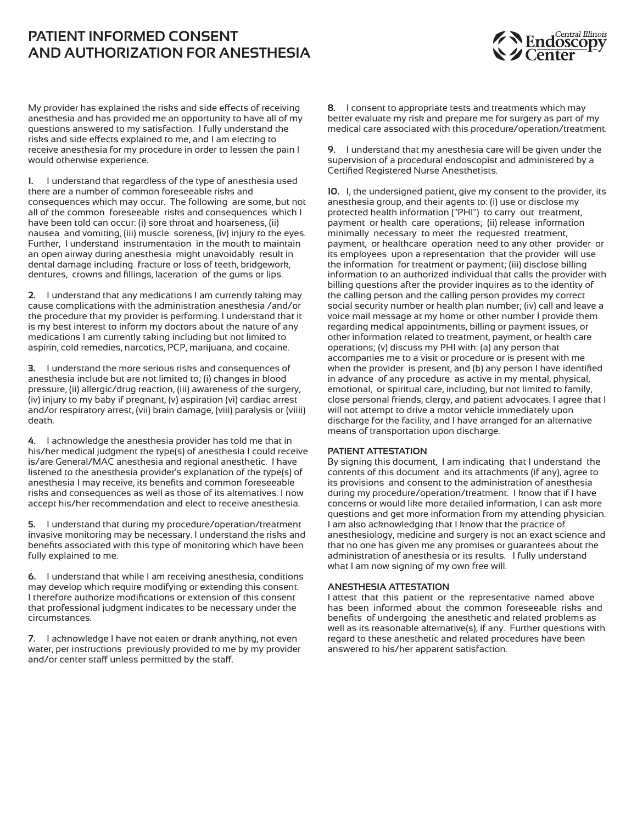### **PATIENT INfORMED CONsENT AND AUTHORIzATION fOR ANEsTHEsIA**



My provider has explained the risks and side effects of receiving anesthesia and has provided me an opportunity to have all of my questions answered to my satisfaction. I fully understand the risks and side effects explained to me, and I am electing to receive anesthesia for my procedure in order to lessen the pain I would otherwise experience.

**1.** I understand that regardless of the type of anesthesia used there are a number of common foreseeable risks and consequences which may occur. The following are some, but not all of the common foreseeable risks and consequences which I have been told can occur: (i) sore throat and hoarseness, (ii) nausea and vomiting, (iii) muscle soreness, (iv) injury to the eyes. Further, I understand instrumentation in the mouth to maintain an open airway during anesthesia might unavoidably result in dental damage including fracture or loss of teeth, bridgework, dentures, crowns and fillings, laceration of the gums or lips.

**2.** I understand that any medications I am currently taking may cause complications with the administration anesthesia /and/or the procedure that my provider is performing. I understand that it is my best interest to inform my doctors about the nature of any medications I am currently taking including but not limited to aspirin, cold remedies, narcotics, PCP, marijuana, and cocaine.

**3.** I understand the more serious risks and consequences of anesthesia include but are not limited to; (i) changes in blood pressure, (ii) allergic/drug reaction, (iii) awareness of the surgery, (iv) injury to my baby if pregnant, (v) aspiration (vi) cardiac arrest and/or respiratory arrest, (vii) brain damage, (viii) paralysis or (viiii) death.

**4.** I acknowledge the anesthesia provider has told me that in his/her medical judgment the type(s) of anesthesia I could receive is/are General/MAC anesthesia and regional anesthetic. I have listened to the anesthesia provider's explanation of the type(s) of anesthesia I may receive, its benefits and common foreseeable risks and consequences as well as those of its alternatives. I now accept his/her recommendation and elect to receive anesthesia.

**5.** I understand that during my procedure/operation/treatment invasive monitoring may be necessary. I understand the risks and benefits associated with this type of monitoring which have been fully explained to me.

**6.** I understand that while I am receiving anesthesia, conditions may develop which require modifying or extending this consent. I therefore authorize modifications or extension of this consent that professional judgment indicates to be necessary under the circumstances.

**7.** I acknowledge I have not eaten or drank anything, not even water, per instructions previously provided to me by my provider and/or center staff unless permitted by the staff.

**8.** I consent to appropriate tests and treatments which may better evaluate my risk and prepare me for surgery as part of my medical care associated with this procedure/operation/treatment.

**9.** I understand that my anesthesia care will be given under the supervision of a procedural endoscopist and administered by a Certified Registered Nurse Anesthetists.

**10.** I, the undersigned patient, give my consent to the provider, its anesthesia group, and their agents to: (i) use or disclose my protected health information ("PHI") to carry out treatment, payment or health care operations; (ii) release information minimally necessary to meet the requested treatment, payment, or healthcare operation need to any other provider or its employees upon a representation that the provider will use the information for treatment or payment; (iii) disclose billing information to an authorized individual that calls the provider with billing questions after the provider inquires as to the identity of the calling person and the calling person provides my correct social security number or health plan number; (iv) call and leave a voice mail message at my home or other number I provide them regarding medical appointments, billing or payment issues, or other information related to treatment, payment, or health care operations; (v) discuss my PHI with: (a) any person that accompanies me to a visit or procedure or is present with me when the provider is present, and (b) any person I have identified in advance of any procedure as active in my mental, physical, emotional, or spiritual care, including, but not limited to family, close personal friends, clergy, and patient advocates. I agree that I will not attempt to drive a motor vehicle immediately upon discharge for the facility, and I have arranged for an alternative means of transportation upon discharge.

#### **PATIENT ATTEsTATION**

By signing this document, I am indicating that I understand the contents of this document and its attachments (if any), agree to its provisions and consent to the administration of anesthesia during my procedure/operation/treatment. I know that if I have concerns or would like more detailed information, I can ask more questions and get more information from my attending physician. I am also acknowledging that I know that the practice of anesthesiology, medicine and surgery is not an exact science and that no one has given me any promises or guarantees about the administration of anesthesia or its results. I fully understand what I am now signing of my own free will.

#### **ANEsTHEsIA ATTEsTATION**

I attest that this patient or the representative named above has been informed about the common foreseeable risks and benefits of undergoing the anesthetic and related problems as well as its reasonable alternative(s), if any. Further questions with regard to these anesthetic and related procedures have been answered to his/her apparent satisfaction.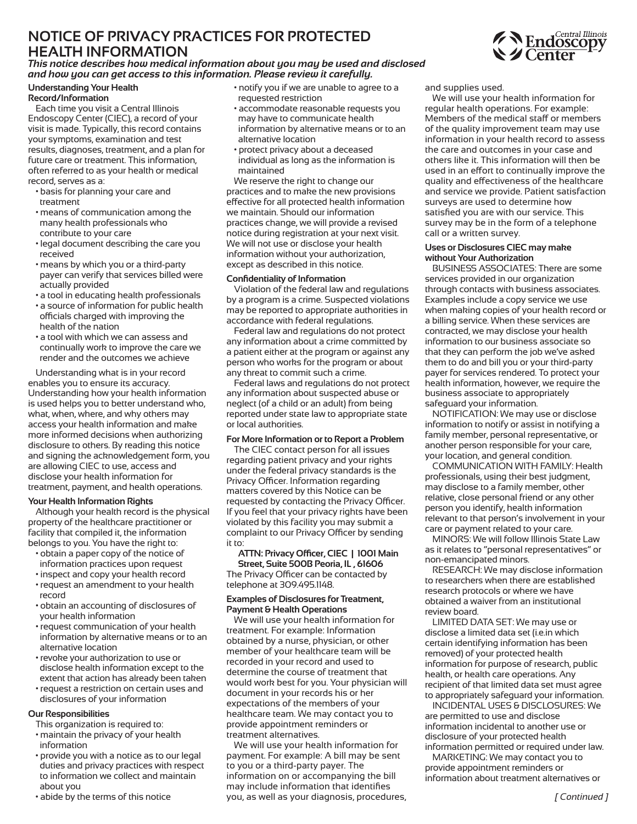# **NOTICE Of PRIvACy PRACTICEs fOR PROTECTED HEAlTH INfORMATION**



*This notice describes how medical information about you may be used and disclosed and how you can get access to this information. Please review it carefully.*

#### **Understanding your Health Record/Information**

Each time you visit a Central Illinois Endoscopy Center (CIEC), a record of your visit is made. Typically, this record contains your symptoms, examination and test results, diagnoses, treatment, and a plan for future care or treatment. This information, often referred to as your health or medical record, serves as a:

- basis for planning your care and treatment
- means of communication among the many health professionals who contribute to your care
- legal document describing the care you received
- means by which you or a third-party payer can verify that services billed were actually provided
- a tool in educating health professionals
- a source of information for public health officials charged with improving the health of the nation
- a tool with which we can assess and continually work to improve the care we render and the outcomes we achieve

Understanding what is in your record enables you to ensure its accuracy. Understanding how your health information is used helps you to better understand who, what, when, where, and why others may access your health information and make more informed decisions when authorizing disclosure to others. By reading this notice and signing the acknowledgement form, you are allowing CIEC to use, access and disclose your health information for treatment, payment, and health operations.

#### **your Health Information Rights**

Although your health record is the physical property of the healthcare practitioner or facility that compiled it, the information belongs to you. You have the right to:

- obtain a paper copy of the notice of information practices upon request
- inspect and copy your health record
- request an amendment to your health record
- obtain an accounting of disclosures of your health information
- request communication of your health information by alternative means or to an alternative location
- revoke your authorization to use or disclose health information except to the extent that action has already been taken
- request a restriction on certain uses and disclosures of your information

#### **Our Responsibilities**

This organization is required to:

- maintain the privacy of your health information
- provide you with a notice as to our legal duties and privacy practices with respect to information we collect and maintain about you
- abide by the terms of this notice
- notify you if we are unable to agree to a requested restriction
- accommodate reasonable requests you may have to communicate health information by alternative means or to an alternative location
- protect privacy about a deceased individual as long as the information is maintained

We reserve the right to change our practices and to make the new provisions effective for all protected health information we maintain. Should our information practices change, we will provide a revised notice during registration at your next visit. We will not use or disclose your health information without your authorization, except as described in this notice.

#### **Confidentiality of Information**

Violation of the federal law and regulations by a program is a crime. Suspected violations may be reported to appropriate authorities in accordance with federal regulations.

Federal law and regulations do not protect any information about a crime committed by a patient either at the program or against any person who works for the program or about any threat to commit such a crime.

Federal laws and regulations do not protect any information about suspected abuse or neglect (of a child or an adult) from being reported under state law to appropriate state or local authorities.

#### **for More Information or to Report a Problem**

The CIEC contact person for all issues regarding patient privacy and your rights under the federal privacy standards is the Privacy Officer. Information regarding matters covered by this Notice can be requested by contacting the Privacy Officer. If you feel that your privacy rights have been violated by this facility you may submit a complaint to our Privacy Officer by sending it to:

#### **ATTN: Privacy Ocer, CIEC | 1001 Main street, suite 500B Peoria, Il , 61606**

The Privacy Officer can be contacted by telephone at 309.495.1148.

#### **Examples of Disclosures for Treatment, Payment & Health Operations**

We will use your health information for treatment. For example: Information obtained by a nurse, physician, or other member of your healthcare team will be recorded in your record and used to determine the course of treatment that would work best for you. Your physician will document in your records his or her expectations of the members of your healthcare team. We may contact you to provide appointment reminders or treatment alternatives.

We will use your health information for payment. For example: A bill may be sent to you or a third-party payer. The information on or accompanying the bill may include information that identifies you, as well as your diagnosis, procedures, and supplies used.

We will use your health information for regular health operations. For example: Members of the medical staff or members of the quality improvement team may use information in your health record to assess the care and outcomes in your case and others like it. This information will then be used in an effort to continually improve the quality and effectiveness of the healthcare and service we provide. Patient satisfaction surveys are used to determine how satisfied you are with our service. This survey may be in the form of a telephone call or a written survey.

#### **Uses or Disclosures CIEC may make without your Authorization**

BUSINESS ASSOCIATES: There are some services provided in our organization through contacts with business associates. Examples include a copy service we use when making copies of your health record or a billing service. When these services are contracted, we may disclose your health information to our business associate so that they can perform the job we've asked them to do and bill you or your third-party payer for services rendered. To protect your health information, however, we require the business associate to appropriately safeguard your information.

NOTIFICATION: We may use or disclose information to notify or assist in notifying a family member, personal representative, or another person responsible for your care, your location, and general condition.

COMMUNICATION WITH FAMILY: Health professionals, using their best judgment, may disclose to a family member, other relative, close personal friend or any other person you identify, health information relevant to that person's involvement in your care or payment related to your care.

MINORS: We will follow Illinois State Law as it relates to "personal representatives" or non-emancipated minors.

RESEARCH: We may disclose information to researchers when there are established research protocols or where we have obtained a waiver from an institutional review board.

LIMITED DATA SET: We may use or disclose a limited data set (i.e.in which certain identifying information has been removed) of your protected health information for purpose of research, public health, or health care operations. Any recipient of that limited data set must agree to appropriately safeguard your information.

INCIDENTAL USES & DISCLOSURES: We are permitted to use and disclose information incidental to another use or disclosure of your protected health information permitted or required under law.

MARkETING: We may contact you to provide appointment reminders or information about treatment alternatives or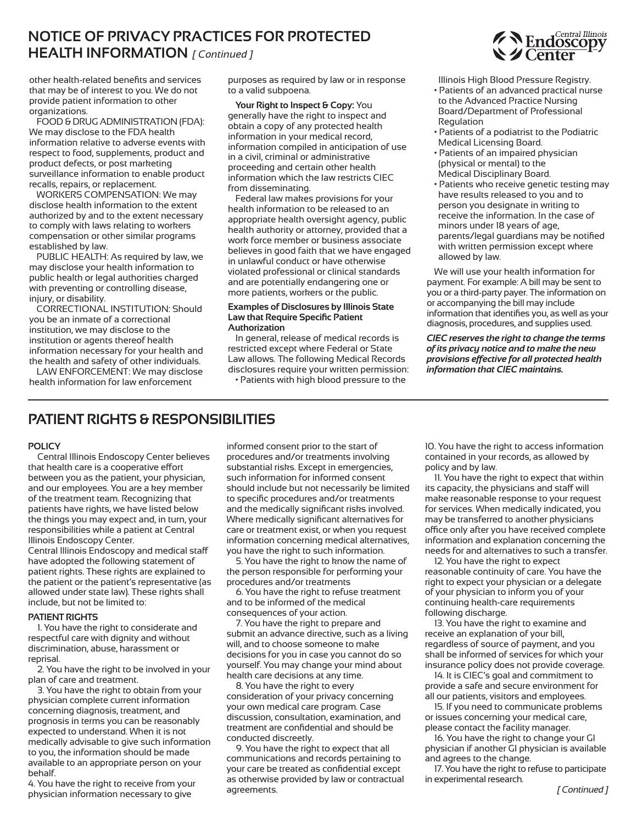### **NOTICE Of PRIvACy PRACTICEs fOR PROTECTED HEAlTH INfORMATION** *[ Continued ]*

other health-related benefits and services that may be of interest to you. We do not provide patient information to other organizations.

FOOD & DRUG ADMINISTRATION (FDA): We may disclose to the FDA health information relative to adverse events with respect to food, supplements, product and product defects, or post marketing surveillance information to enable product recalls, repairs, or replacement.

WORkERS COMPENSATION: We may disclose health information to the extent authorized by and to the extent necessary to comply with laws relating to workers compensation or other similar programs established by law.

PUBLIC HEALTH: As required by law, we may disclose your health information to public health or legal authorities charged with preventing or controlling disease, injury, or disability.

CORRECTIONAL INSTITUTION: Should you be an inmate of a correctional institution, we may disclose to the institution or agents thereof health information necessary for your health and the health and safety of other individuals.

LAW ENFORCEMENT: We may disclose health information for law enforcement

purposes as required by law or in response to a valid subpoena.

**your Right to Inspect & Copy:** You generally have the right to inspect and obtain a copy of any protected health information in your medical record, information compiled in anticipation of use in a civil, criminal or administrative proceeding and certain other health information which the law restricts CIEC from disseminating.

Federal law makes provisions for your health information to be released to an appropriate health oversight agency, public health authority or attorney, provided that a work force member or business associate believes in good faith that we have engaged in unlawful conduct or have otherwise violated professional or clinical standards and are potentially endangering one or more patients, workers or the public.

#### **Examples of Disclosures by Illinois state law that Require specific Patient Authorization**

In general, release of medical records is restricted except where Federal or State Law allows. The following Medical Records disclosures require your written permission:

• Patients with high blood pressure to the



Illinois High Blood Pressure Registry.

- Patients of an advanced practical nurse to the Advanced Practice Nursing Board/Department of Professional Regulation
- Patients of a podiatrist to the Podiatric Medical Licensing Board.
- Patients of an impaired physician (physical or mental) to the Medical Disciplinary Board.
- Patients who receive genetic testing may have results released to you and to person you designate in writing to receive the information. In the case of minors under 18 years of age, parents/legal guardians may be notified with written permission except where allowed by law.

We will use your health information for payment. For example: A bill may be sent to you or a third-party payer. The information on or accompanying the bill may include information that identifies you, as well as your diagnosis, procedures, and supplies used.

*CIEC reserves the right to change the terms of its privacy notice and to make the new provisions eective for all protected health information that CIEC maintains.*

# **PATIENT RIGHTs & REsPONsIBIlITIEs**

#### **POlICy**

Central Illinois Endoscopy Center believes that health care is a cooperative effort between you as the patient, your physician, and our employees. You are a key member of the treatment team. Recognizing that patients have rights, we have listed below the things you may expect and, in turn, your responsibilities while a patient at Central Illinois Endoscopy Center.

Central Illinois Endoscopy and medical sta have adopted the following statement of patient rights. These rights are explained to the patient or the patient's representative (as allowed under state law). These rights shall include, but not be limited to:

#### **PATIENT RIGHTs**

1. You have the right to considerate and respectful care with dignity and without discrimination, abuse, harassment or reprisal.

2. You have the right to be involved in your plan of care and treatment.

3. You have the right to obtain from your physician complete current information concerning diagnosis, treatment, and prognosis in terms you can be reasonably expected to understand. When it is not medically advisable to give such information to you, the information should be made available to an appropriate person on your behalf.

4. You have the right to receive from your physician information necessary to give

informed consent prior to the start of procedures and/or treatments involving substantial risks. Except in emergencies, such information for informed consent should include but not necessarily be limited to specific procedures and/or treatments and the medically significant risks involved. Where medically significant alternatives for care or treatment exist, or when you request information concerning medical alternatives, you have the right to such information.

5. You have the right to know the name of the person responsible for performing your procedures and/or treatments

6. You have the right to refuse treatment and to be informed of the medical consequences of your action.

7. You have the right to prepare and submit an advance directive, such as a living will, and to choose someone to make decisions for you in case you cannot do so yourself. You may change your mind about health care decisions at any time.

8. You have the right to every consideration of your privacy concerning your own medical care program. Case discussion, consultation, examination, and treatment are confidential and should be conducted discreetly.

9. You have the right to expect that all communications and records pertaining to your care be treated as confidential except as otherwise provided by law or contractual agreements.

10. You have the right to access information contained in your records, as allowed by policy and by law.

11. You have the right to expect that within its capacity, the physicians and staff will make reasonable response to your request for services. When medically indicated, you may be transferred to another physicians office only after you have received complete information and explanation concerning the needs for and alternatives to such a transfer.

12. You have the right to expect reasonable continuity of care. You have the right to expect your physician or a delegate of your physician to inform you of your continuing health-care requirements following discharge.

13. You have the right to examine and receive an explanation of your bill, regardless of source of payment, and you shall be informed of services for which your insurance policy does not provide coverage.

14. It is CIEC's goal and commitment to provide a safe and secure environment for all our patients, visitors and employees.

15. If you need to communicate problems or issues concerning your medical care, please contact the facility manager.

16. You have the right to change your GI physician if another GI physician is available and agrees to the change.

17. You have the right to refuse to participate in experimental research.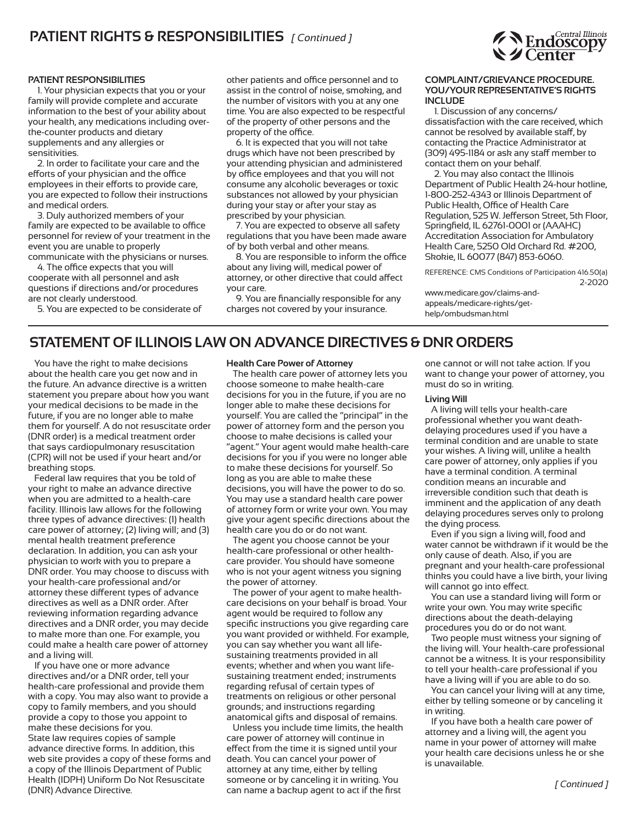### **PATIENT RIGHTs & REsPONsIBIlITIEs** *[ Continued ]*

#### **PATIENT REsPONsIBIlITIEs**

1. Your physician expects that you or your family will provide complete and accurate information to the best of your ability about your health, any medications including overthe-counter products and dietary supplements and any allergies or sensitivities.

2. In order to facilitate your care and the efforts of your physician and the office employees in their efforts to provide care, you are expected to follow their instructions and medical orders.

3. Duly authorized members of your family are expected to be available to office personnel for review of your treatment in the event you are unable to properly

communicate with the physicians or nurses. 4. The office expects that you will cooperate with all personnel and ask questions if directions and/or procedures are not clearly understood.

5. You are expected to be considerate of

other patients and office personnel and to assist in the control of noise, smoking, and the number of visitors with you at any one time. You are also expected to be respectful of the property of other persons and the property of the office.

6. It is expected that you will not take drugs which have not been prescribed by your attending physician and administered by office employees and that you will not consume any alcoholic beverages or toxic substances not allowed by your physician during your stay or after your stay as prescribed by your physician.

7. You are expected to observe all safety regulations that you have been made aware of by both verbal and other means.

8. You are responsible to inform the office about any living will, medical power of attorney, or other directive that could affect your care.

9. You are financially responsible for any charges not covered by your insurance.

#### **COMPlAINT/GRIEvANCE PROCEDURE. yOU/yOUR REPREsENTATIvE's RIGHTs INClUDE**

1. Discussion of any concerns/ dissatisfaction with the care received, which cannot be resolved by available staff, by contacting the Practice Administrator at (309) 495-1184 or ask any staff member to contact them on your behalf.

2. You may also contact the Illinois Department of Public Health 24-hour hotline, 1-800-252-4343 or Illinois Department of Public Health, Office of Health Care Regulation, 525 W. Jefferson Street, 5th Floor, Springfield, IL 62761-0001 or (AAAHC) Accreditation Association for Ambulatory Health Care, 5250 Old Orchard Rd. #200, Skokie, IL 60077 (847) 853-6060.

REFERENCE: CMS Conditions of Participation 416.50(a) 2-2020 www.medicare.gov/claims-andappeals/medicare-rights/gethelp/ombudsman.html

### **sTATEMENT Of IllINOIs lAW ON ADvANCE DIRECTIvEs & DNR ORDERs**

You have the right to make decisions about the health care you get now and in the future. An advance directive is a written statement you prepare about how you want your medical decisions to be made in the future, if you are no longer able to make them for yourself. A do not resuscitate order (DNR order) is a medical treatment order that says cardiopulmonary resuscitation (CPR) will not be used if your heart and/or breathing stops.

Federal law requires that you be told of your right to make an advance directive when you are admitted to a health-care facility. Illinois law allows for the following three types of advance directives: (1) health care power of attorney; (2) living will; and (3) mental health treatment preference declaration. In addition, you can ask your physician to work with you to prepare a DNR order. You may choose to discuss with your health-care professional and/or attorney these different types of advance directives as well as a DNR order. After reviewing information regarding advance directives and a DNR order, you may decide to make more than one. For example, you could make a health care power of attorney and a living will.

If you have one or more advance directives and/or a DNR order, tell your health-care professional and provide them with a copy. You may also want to provide a copy to family members, and you should provide a copy to those you appoint to make these decisions for you. State law requires copies of sample advance directive forms. In addition, this web site provides a copy of these forms and a copy of the Illinois Department of Public Health (IDPH) Uniform Do Not Resuscitate (DNR) Advance Directive.

#### **Health Care Power of Attorney**

The health care power of attorney lets you choose someone to make health-care decisions for you in the future, if you are no longer able to make these decisions for yourself. You are called the "principal" in the power of attorney form and the person you choose to make decisions is called your "agent." Your agent would make health-care decisions for you if you were no longer able to make these decisions for yourself. So long as you are able to make these decisions, you will have the power to do so. You may use a standard health care power of attorney form or write your own. You may give your agent specific directions about the health care you do or do not want.

The agent you choose cannot be your health-care professional or other healthcare provider. You should have someone who is not your agent witness you signing the power of attorney.

The power of your agent to make healthcare decisions on your behalf is broad. Your agent would be required to follow any specific instructions you give regarding care you want provided or withheld. For example, you can say whether you want all lifesustaining treatments provided in all events; whether and when you want lifesustaining treatment ended; instruments regarding refusal of certain types of treatments on religious or other personal grounds; and instructions regarding anatomical gifts and disposal of remains.

Unless you include time limits, the health care power of attorney will continue in effect from the time it is signed until your death. You can cancel your power of attorney at any time, either by telling someone or by canceling it in writing. You can name a backup agent to act if the first

one cannot or will not take action. If you want to change your power of attorney, you must do so in writing.

#### **living Will**

A living will tells your health-care professional whether you want deathdelaying procedures used if you have a terminal condition and are unable to state your wishes. A living will, unlike a health care power of attorney, only applies if you have a terminal condition. A terminal condition means an incurable and irreversible condition such that death is imminent and the application of any death delaying procedures serves only to prolong the dying process.

Even if you sign a living will, food and water cannot be withdrawn if it would be the only cause of death. Also, if you are pregnant and your health-care professional thinks you could have a live birth, your living will cannot go into effect.

You can use a standard living will form or write your own. You may write specific directions about the death-delaying procedures you do or do not want.

Two people must witness your signing of the living will. Your health-care professional cannot be a witness. It is your responsibility to tell your health-care professional if you have a living will if you are able to do so.

You can cancel your living will at any time, either by telling someone or by canceling it in writing.

If you have both a health care power of attorney and a living will, the agent you name in your power of attorney will make your health care decisions unless he or she is unavailable.

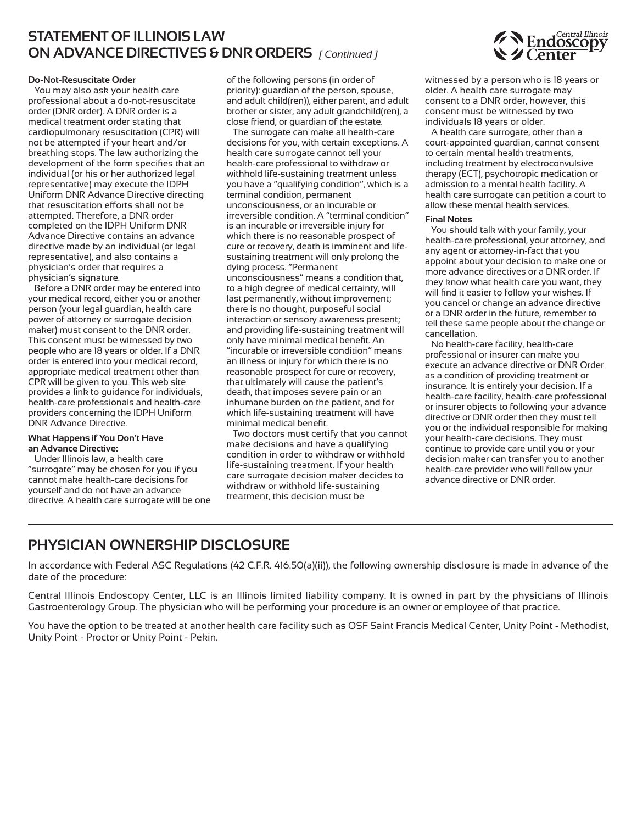### **sTATEMENT Of IllINOIs lAW ON ADvANCE DIRECTIvEs & DNR ORDERs** *[ Continued ]*

#### **Do-Not-Resuscitate Order**

You may also ask your health care professional about a do-not-resuscitate order (DNR order). A DNR order is a medical treatment order stating that cardiopulmonary resuscitation (CPR) will not be attempted if your heart and/or breathing stops. The law authorizing the development of the form specifies that an individual (or his or her authorized legal representative) may execute the IDPH Uniform DNR Advance Directive directing that resuscitation efforts shall not be attempted. Therefore, a DNR order completed on the IDPH Uniform DNR Advance Directive contains an advance directive made by an individual (or legal representative), and also contains a physician's order that requires a physician's signature.

Before a DNR order may be entered into your medical record, either you or another person (your legal guardian, health care power of attorney or surrogate decision maker) must consent to the DNR order. This consent must be witnessed by two people who are 18 years or older. If a DNR order is entered into your medical record, appropriate medical treatment other than CPR will be given to you. This web site provides a link to guidance for individuals, health-care professionals and health-care providers concerning the IDPH Uniform DNR Advance Directive.

#### **What Happens if you Don't Have an Advance Directive:**

Under Illinois law, a health care "surrogate" may be chosen for you if you cannot make health-care decisions for yourself and do not have an advance directive. A health care surrogate will be one of the following persons (in order of priority): guardian of the person, spouse, and adult child(ren)), either parent, and adult brother or sister, any adult grandchild(ren), a close friend, or guardian of the estate.

The surrogate can make all health-care decisions for you, with certain exceptions. A health care surrogate cannot tell your health-care professional to withdraw or withhold life-sustaining treatment unless you have a "qualifying condition", which is a terminal condition, permanent unconsciousness, or an incurable or irreversible condition. A "terminal condition" is an incurable or irreversible injury for which there is no reasonable prospect of cure or recovery, death is imminent and lifesustaining treatment will only prolong the dying process. "Permanent unconsciousness" means a condition that, to a high degree of medical certainty, will last permanently, without improvement; there is no thought, purposeful social interaction or sensory awareness present; and providing life-sustaining treatment will only have minimal medical benefit. An "incurable or irreversible condition" means an illness or injury for which there is no reasonable prospect for cure or recovery, that ultimately will cause the patient's death, that imposes severe pain or an inhumane burden on the patient, and for which life-sustaining treatment will have minimal medical benefit.

Two doctors must certify that you cannot make decisions and have a qualifying condition in order to withdraw or withhold life-sustaining treatment. If your health care surrogate decision maker decides to withdraw or withhold life-sustaining treatment, this decision must be

witnessed by a person who is 18 years or older. A health care surrogate may consent to a DNR order, however, this consent must be witnessed by two individuals 18 years or older.

A health care surrogate, other than a court-appointed guardian, cannot consent to certain mental health treatments, including treatment by electroconvulsive therapy (ECT), psychotropic medication or admission to a mental health facility. A health care surrogate can petition a court to allow these mental health services.

#### **final Notes**

You should talk with your family, your health-care professional, your attorney, and any agent or attorney-in-fact that you appoint about your decision to make one or more advance directives or a DNR order. If they know what health care you want, they will find it easier to follow your wishes. If you cancel or change an advance directive or a DNR order in the future, remember to tell these same people about the change or cancellation.

No health-care facility, health-care professional or insurer can make you execute an advance directive or DNR Order as a condition of providing treatment or insurance. It is entirely your decision. If a health-care facility, health-care professional or insurer objects to following your advance directive or DNR order then they must tell you or the individual responsible for making your health-care decisions. They must continue to provide care until you or your decision maker can transfer you to another health-care provider who will follow your advance directive or DNR order.

### **PHysICIAN OWNERsHIP DIsClOsURE**

In accordance with Federal ASC Regulations (42 C.F.R. 416.50(a)(ii)), the following ownership disclosure is made in advance of the date of the procedure:

Central Illinois Endoscopy Center, LLC is an Illinois limited liability company. It is owned in part by the physicians of Illinois Gastroenterology Group. The physician who will be performing your procedure is an owner or employee of that practice.

You have the option to be treated at another health care facility such as OSF Saint Francis Medical Center, Unity Point - Methodist, Unity Point - Proctor or Unity Point - Pekin.

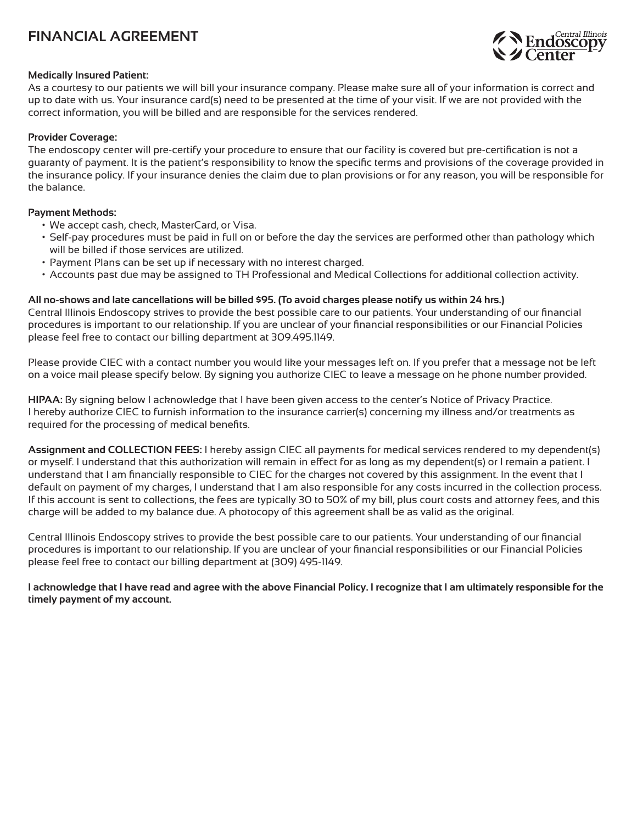# **fINANCIAl AGREEMENT**



#### **Medically Insured Patient:**

As a courtesy to our patients we will bill your insurance company. Please make sure all of your information is correct and up to date with us. Your insurance card(s) need to be presented at the time of your visit. If we are not provided with the correct information, you will be billed and are responsible for the services rendered.

#### **Provider Coverage:**

The endoscopy center will pre-certify your procedure to ensure that our facility is covered but pre-certification is not a guaranty of payment. It is the patient's responsibility to know the specific terms and provisions of the coverage provided in the insurance policy. If your insurance denies the claim due to plan provisions or for any reason, you will be responsible for the balance.

#### **Payment Methods:**

- We accept cash, check, MasterCard, or Visa.
- Self-pay procedures must be paid in full on or before the day the services are performed other than pathology which will be billed if those services are utilized.
- Payment Plans can be set up if necessary with no interest charged.
- Accounts past due may be assigned to TH Professional and Medical Collections for additional collection activity.

#### All no-shows and late cancellations will be billed \$95. (To avoid charges please notify us within 24 hrs.)

Central Illinois Endoscopy strives to provide the best possible care to our patients. Your understanding of our financial procedures is important to our relationship. If you are unclear of your financial responsibilities or our Financial Policies please feel free to contact our billing department at 309.495.1149.

Please provide CIEC with a contact number you would like your messages left on. If you prefer that a message not be left on a voice mail please specify below. By signing you authorize CIEC to leave a message on he phone number provided.

**HIPAA:** By signing below I acknowledge that I have been given access to the center's Notice of Privacy Practice. I hereby authorize CIEC to furnish information to the insurance carrier(s) concerning my illness and/or treatments as required for the processing of medical benefits.

**Assignment and COllECTION fEEs:** I hereby assign CIEC all payments for medical services rendered to my dependent(s) or myself. I understand that this authorization will remain in effect for as long as my dependent(s) or I remain a patient. I understand that I am financially responsible to CIEC for the charges not covered by this assignment. In the event that I default on payment of my charges, I understand that I am also responsible for any costs incurred in the collection process. If this account is sent to collections, the fees are typically 30 to 50% of my bill, plus court costs and attorney fees, and this charge will be added to my balance due. A photocopy of this agreement shall be as valid as the original.

Central Illinois Endoscopy strives to provide the best possible care to our patients. Your understanding of our financial procedures is important to our relationship. If you are unclear of your financial responsibilities or our Financial Policies please feel free to contact our billing department at (309) 495-1149.

I acknowledge that I have read and agree with the above Financial Policy. I recognize that I am ultimately responsible for the **timely payment of my account.**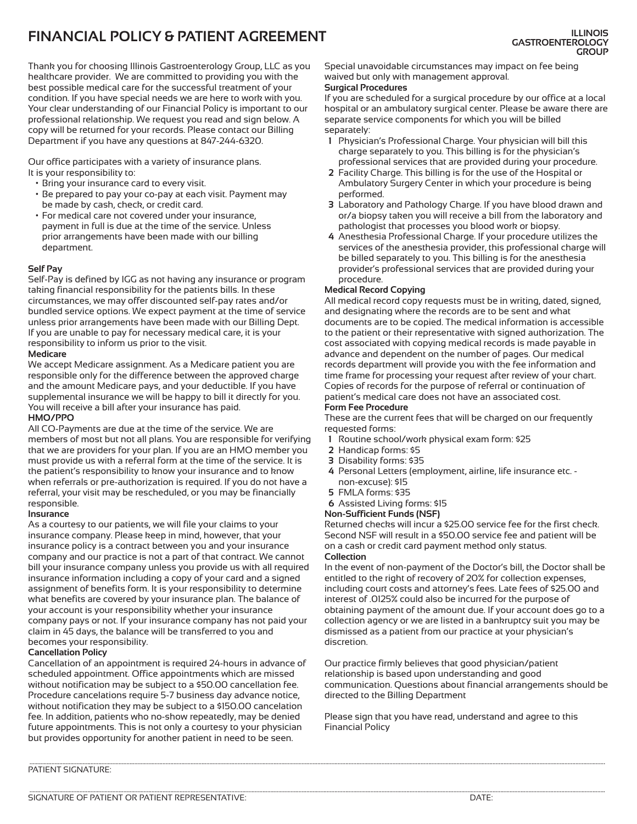# **fINANCIAl POlICy & PATIENT AGREEMENT**

Thank you for choosing Illinois Gastroenterology Group, LLC as you healthcare provider. We are committed to providing you with the best possible medical care for the successful treatment of your condition. If you have special needs we are here to work with you. Your clear understanding of our Financial Policy is important to our professional relationship. We request you read and sign below. A copy will be returned for your records. Please contact our Billing Department if you have any questions at 847-244-6320.

Our office participates with a variety of insurance plans. It is your responsibility to:

- Bring your insurance card to every visit.
- Be prepared to pay your co-pay at each visit. Payment may be made by cash, check, or credit card.
- For medical care not covered under your insurance, payment in full is due at the time of the service. Unless prior arrangements have been made with our billing department.

#### **self Pay**

Self-Pay is defined by IGG as not having any insurance or program taking financial responsibility for the patients bills. In these circumstances, we may offer discounted self-pay rates and/or bundled service options. We expect payment at the time of service unless prior arrangements have been made with our Billing Dept. If you are unable to pay for necessary medical care, it is your responsibility to inform us prior to the visit.

#### **Medicare**

We accept Medicare assignment. As a Medicare patient you are responsible only for the difference between the approved charge and the amount Medicare pays, and your deductible. If you have supplemental insurance we will be happy to bill it directly for you. You will receive a bill after your insurance has paid.

#### **HMO/PPO**

All CO-Payments are due at the time of the service. We are members of most but not all plans. You are responsible for verifying that we are providers for your plan. If you are an HMO member you must provide us with a referral form at the time of the service. It is the patient's responsibility to know your insurance and to know when referrals or pre-authorization is required. If you do not have a referral, your visit may be rescheduled, or you may be financially responsible.

#### **Insurance**

As a courtesy to our patients, we will file your claims to your insurance company. Please keep in mind, however, that your insurance policy is a contract between you and your insurance company and our practice is not a part of that contract. We cannot bill your insurance company unless you provide us with all required insurance information including a copy of your card and a signed assignment of benefits form. It is your responsibility to determine what benefits are covered by your insurance plan. The balance of your account is your responsibility whether your insurance company pays or not. If your insurance company has not paid your claim in 45 days, the balance will be transferred to you and becomes your responsibility.

#### **Cancellation Policy**

Cancellation of an appointment is required 24-hours in advance of scheduled appointment. Office appointments which are missed without notification may be subject to a \$50.00 cancellation fee. Procedure cancelations require 5-7 business day advance notice, without notification they may be subject to a \$150.00 cancelation fee. In addition, patients who no-show repeatedly, may be denied future appointments. This is not only a courtesy to your physician but provides opportunity for another patient in need to be seen.

Special unavoidable circumstances may impact on fee being waived but only with management approval.

#### **surgical Procedures**

If you are scheduled for a surgical procedure by our office at a local hospital or an ambulatory surgical center. Please be aware there are separate service components for which you will be billed separately:

- **1** Physician's Professional Charge. Your physician will bill this charge separately to you. This billing is for the physician's professional services that are provided during your procedure.
- **2** Facility Charge. This billing is for the use of the Hospital or Ambulatory Surgery Center in which your procedure is being performed.
- **3** Laboratory and Pathology Charge. If you have blood drawn and or/a biopsy taken you will receive a bill from the laboratory and pathologist that processes you blood work or biopsy.
- **4** Anesthesia Professional Charge. If your procedure utilizes the services of the anesthesia provider, this professional charge will be billed separately to you. This billing is for the anesthesia provider's professional services that are provided during your procedure.

#### **Medical Record Copying**

All medical record copy requests must be in writing, dated, signed, and designating where the records are to be sent and what documents are to be copied. The medical information is accessible to the patient or their representative with signed authorization. The cost associated with copying medical records is made payable in advance and dependent on the number of pages. Our medical records department will provide you with the fee information and time frame for processing your request after review of your chart. Copies of records for the purpose of referral or continuation of patient's medical care does not have an associated cost.

#### **form fee Procedure**

These are the current fees that will be charged on our frequently requested forms:

- **1** Routine school/work physical exam form: \$25
- **2** Handicap forms: \$5
- **3** Disability forms: \$35
- **4** Personal Letters (employment, airline, life insurance etc. non-excuse): \$15
- **5** FMLA forms: \$35
- **6** Assisted Living forms: \$15

#### **Non-sufficient funds (Nsf)**

Returned checks will incur a \$25.00 service fee for the first check. Second NSF will result in a \$50.00 service fee and patient will be on a cash or credit card payment method only status. **Collection**

In the event of non-payment of the Doctor's bill, the Doctor shall be entitled to the right of recovery of 20% for collection expenses, including court costs and attorney's fees. Late fees of \$25.00 and interest of .0125% could also be incurred for the purpose of obtaining payment of the amount due. If your account does go to a collection agency or we are listed in a bankruptcy suit you may be dismissed as a patient from our practice at your physician's discretion.

Our practice firmly believes that good physician/patient relationship is based upon understanding and good communication. Questions about financial arrangements should be directed to the Billing Department

Please sign that you have read, understand and agree to this Financial Policy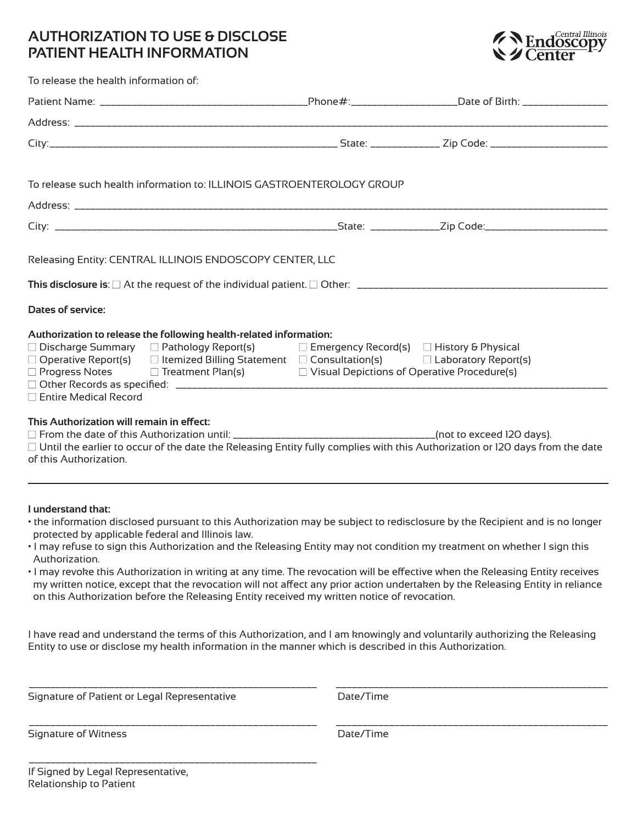### **AUTHORIzATION TO UsE & DIsClOsE PATIENT HEAlTH INfORMATION**



| To release the health information of:                                                                                                                                                                                                                                                                                                                                                                  |  |  |
|--------------------------------------------------------------------------------------------------------------------------------------------------------------------------------------------------------------------------------------------------------------------------------------------------------------------------------------------------------------------------------------------------------|--|--|
|                                                                                                                                                                                                                                                                                                                                                                                                        |  |  |
|                                                                                                                                                                                                                                                                                                                                                                                                        |  |  |
|                                                                                                                                                                                                                                                                                                                                                                                                        |  |  |
| To release such health information to: ILLINOIS GASTROENTEROLOGY GROUP                                                                                                                                                                                                                                                                                                                                 |  |  |
|                                                                                                                                                                                                                                                                                                                                                                                                        |  |  |
|                                                                                                                                                                                                                                                                                                                                                                                                        |  |  |
| Releasing Entity: CENTRAL ILLINOIS ENDOSCOPY CENTER, LLC<br>Dates of service:                                                                                                                                                                                                                                                                                                                          |  |  |
| Authorization to release the following health-related information:<br>$\Box$ Discharge Summary $\Box$ Pathology Report(s) $\Box$ Emergency Record(s) $\Box$ History & Physical<br>$\Box$ Operative Report(s) $\Box$ Itemized Billing Statement $\Box$ Consultation(s) $\Box$ Laboratory Report(s)<br>$\Box$ Progress Notes $\Box$ Treatment Plan(s) $\Box$ Visual Depictions of Operative Procedure(s) |  |  |
| $\Box$ Entire Medical Record<br>This Authorization will remain in effect:<br>$\Box$ Until the earlier to occur of the date the Releasing Entity fully complies with this Authorization or 120 days from the date<br>of this Authorization.                                                                                                                                                             |  |  |

#### **I understand that:**

- the information disclosed pursuant to this Authorization may be subject to redisclosure by the Recipient and is no longer protected by applicable federal and Illinois law.
- I may refuse to sign this Authorization and the Releasing Entity may not condition my treatment on whether I sign this Authorization.
- I may revoke this Authorization in writing at any time. The revocation will be effective when the Releasing Entity receives my written notice, except that the revocation will not affect any prior action undertaken by the Releasing Entity in reliance on this Authorization before the Releasing Entity received my written notice of revocation.

I have read and understand the terms of this Authorization, and I am knowingly and voluntarily authorizing the Releasing Entity to use or disclose my health information in the manner which is described in this Authorization.

\_\_\_\_\_\_\_\_\_\_\_\_\_\_\_\_\_\_\_\_\_\_\_\_\_\_\_\_\_\_\_\_\_\_\_\_\_\_\_\_\_\_\_\_\_\_\_\_\_\_\_\_\_\_ \_\_\_\_\_\_\_\_\_\_\_\_\_\_\_\_\_\_\_\_\_\_\_\_\_\_\_\_\_\_\_\_\_\_\_\_\_\_\_\_\_\_\_\_\_\_\_\_\_\_\_

\_\_\_\_\_\_\_\_\_\_\_\_\_\_\_\_\_\_\_\_\_\_\_\_\_\_\_\_\_\_\_\_\_\_\_\_\_\_\_\_\_\_\_\_\_\_\_\_\_\_\_\_\_\_ \_\_\_\_\_\_\_\_\_\_\_\_\_\_\_\_\_\_\_\_\_\_\_\_\_\_\_\_\_\_\_\_\_\_\_\_\_\_\_\_\_\_\_\_\_\_\_\_\_\_\_

Signature of Patient or Legal Representative **Date/Time** 

\_\_\_\_\_\_\_\_\_\_\_\_\_\_\_\_\_\_\_\_\_\_\_\_\_\_\_\_\_\_\_\_\_\_\_\_\_\_\_\_\_\_\_\_\_\_\_\_\_\_\_\_\_\_

Signature of Witness and Communications of Witness Date/Time

If Signed by Legal Representative, Relationship to Patient